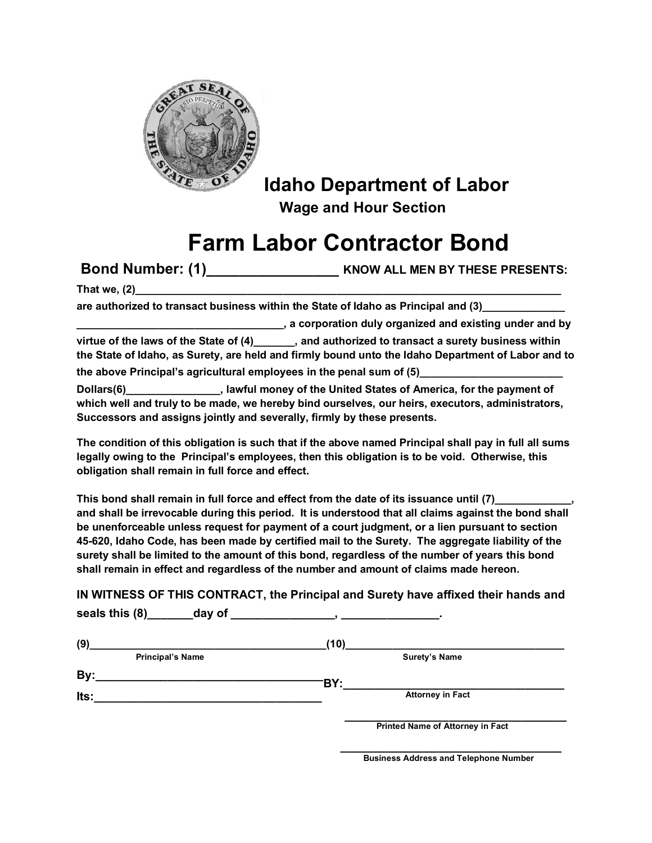

## **Idaho Department of Labor Wage and Hour Section**

## **Farm Labor Contractor Bond**

 **Bond Number: (1)\_\_\_\_\_\_\_\_\_\_\_\_\_\_\_\_ KNOW ALL MEN BY THESE PRESENTS:**

**That we, (2)\_\_\_\_\_\_\_\_\_\_\_\_\_\_\_\_\_\_\_\_\_\_\_\_\_\_\_\_\_\_\_\_\_\_\_\_\_\_\_\_\_\_\_\_\_\_\_\_\_\_\_\_\_\_\_\_\_\_\_\_\_\_\_\_\_\_\_\_\_\_\_\_** 

are authorized to transact business within the State of Idaho as Principal and (3)

**\_\_\_\_\_\_\_\_\_\_\_\_\_\_\_\_\_\_\_\_\_\_\_\_\_\_\_\_\_\_\_\_\_\_\_, a corporation duly organized and existing under and by** 

virtue of the laws of the State of (4) **and authorized to transact a surety business within the State of Idaho, as Surety, are held and firmly bound unto the Idaho Department of Labor and to**  the above Principal's agricultural employees in the penal sum of (5)

**Dollars(6)\_\_\_\_\_\_\_\_\_\_\_\_\_\_\_\_, lawful money of the United States of America, for the payment of which well and truly to be made, we hereby bind ourselves, our heirs, executors, administrators, Successors and assigns jointly and severally, firmly by these presents.** 

**The condition of this obligation is such that if the above named Principal shall pay in full all sums legally owing to the Principal's employees, then this obligation is to be void. Otherwise, this obligation shall remain in full force and effect.** 

This bond shall remain in full force and effect from the date of its issuance until (7) **and shall be irrevocable during this period. It is understood that all claims against the bond shall be unenforceable unless request for payment of a court judgment, or a lien pursuant to section 45-620, Idaho Code, has been made by certified mail to the Surety. The aggregate liability of the surety shall be limited to the amount of this bond, regardless of the number of years this bond shall remain in effect and regardless of the number and amount of claims made hereon.** 

**IN WITNESS OF THIS CONTRACT, the Principal and Surety have affixed their hands and seals this (8)\_\_\_\_\_\_\_day of \_\_\_\_\_\_\_\_\_\_\_\_\_\_\_\_, \_\_\_\_\_\_\_\_\_\_\_\_\_\_\_.** 

| (9)  |                                                                                                                       | (10)                                    |  |
|------|-----------------------------------------------------------------------------------------------------------------------|-----------------------------------------|--|
|      | <b>Principal's Name</b>                                                                                               | <b>Surety's Name</b>                    |  |
| By:  | <u> 1989 - Johann Stoff, deutscher Stoff, der Stoff, der Stoff, der Stoff, der Stoff, der Stoff, der Stoff, der S</u> | 'BY:                                    |  |
| Its: |                                                                                                                       | <b>Attorney in Fact</b>                 |  |
|      |                                                                                                                       | <b>Printed Name of Attorney in Fact</b> |  |

 **\_\_\_\_\_\_\_\_\_\_\_\_\_\_\_\_\_\_\_\_\_\_\_\_\_\_\_\_\_\_\_\_\_\_ Business Address and Telephone Number**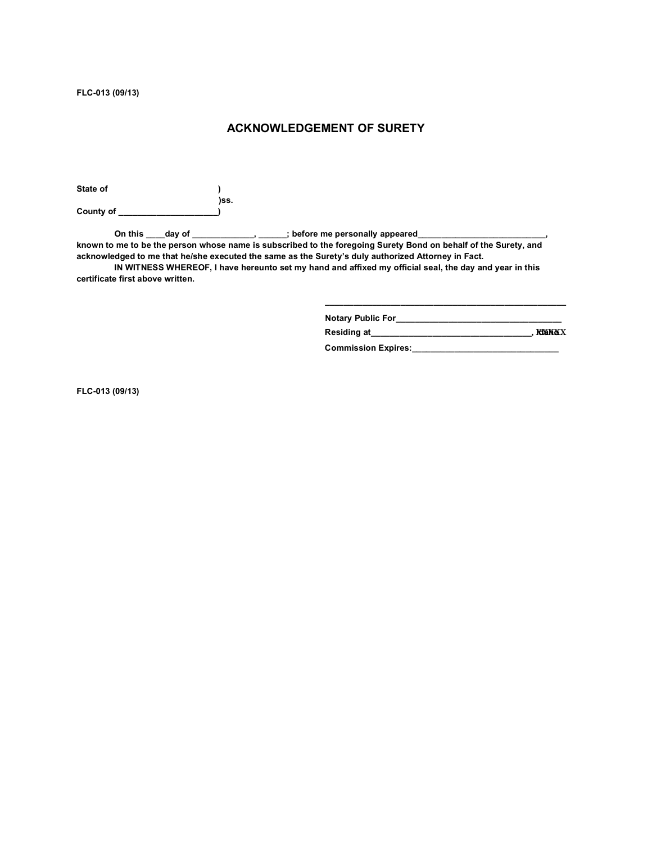**FLC-013 (09/13)** 

## **ACKNOWLEDGEMENT OF SURETY**

State of **a ) )ss. County of \_\_\_\_\_\_\_\_\_\_\_\_\_\_\_\_\_\_\_\_\_)** 

On this \_\_\_\_day of \_\_\_\_\_\_\_\_\_\_\_\_\_\_\_, \_\_\_\_\_\_; before me personally appeared\_\_\_\_\_\_\_\_ **known to me to be the person whose name is subscribed to the foregoing Surety Bond on behalf of the Surety, and acknowledged to me that he/she executed the same as the Surety's duly authorized Attorney in Fact.** 

 **IN WITNESS WHEREOF, I have hereunto set my hand and affixed my official seal, the day and year in this certificate first above written.** 

> **\_\_\_\_\_\_\_\_\_\_\_\_\_\_\_\_\_\_\_\_\_\_\_\_\_\_\_\_\_\_\_\_\_\_\_\_\_\_\_\_\_\_\_\_\_\_\_\_\_\_\_ Notary Public For\_\_\_\_\_\_\_\_\_\_\_\_\_\_\_\_\_\_\_\_\_\_\_\_\_\_\_\_\_\_\_\_\_\_\_ Residing at\_\_\_\_\_\_\_\_\_\_\_\_\_\_\_\_\_\_\_\_\_\_\_\_\_\_\_\_\_\_\_\_\_\_, Idaho**  xxxxx

Commission Expires: **\_\_\_\_\_\_\_\_\_\_\_\_** 

**FLC-013 (09/13)**